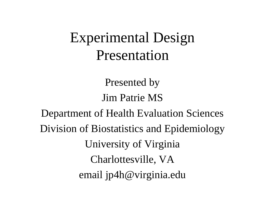# Experimental Design Presentation

Presented by Jim Patrie MS

Department of Health Evaluation Sciences Division of Biostatistics and Epidemiology University of Virginia Charlottesville, VA email jp4h@virginia.edu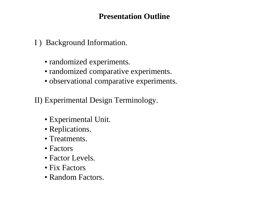# **Presentation Outline**

I ) Background Information.

- randomized experiments.
- randomized comparative experiments.
- observational comparative experiments.

II) Experimental Design Terminology.

- Experimental Unit.
- Replications.
- Treatments.
- Factors
- Factor Levels.
- Fix Factors
- Random Factors.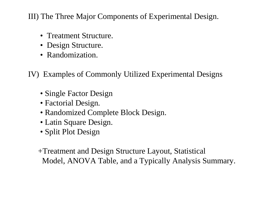III) The Three Major Components of Experimental Design.

- Treatment Structure.
- Design Structure.
- Randomization.

IV) Examples of Commonly Utilized Experimental Designs

- Single Factor Design
- Factorial Design.
- Randomized Complete Block Design.
- Latin Square Design.
- Split Plot Design

 +Treatment and Design Structure Layout, Statistical Model, ANOVA Table, and a Typically Analysis Summary.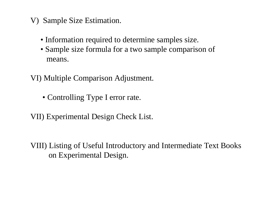- V) Sample Size Estimation.
	- Information required to determine samples size.
	- Sample size formula for a two sample comparison of means.
- VI) Multiple Comparison Adjustment.
	- Controlling Type I error rate.
- VII) Experimental Design Check List.
- VIII) Listing of Useful Introductory and Intermediate Text Books on Experimental Design.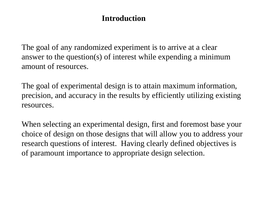#### **Introduction**

The goal of any randomized experiment is to arrive at a clear answer to the question(s) of interest while expending a minimum amount of resources.

The goal of experimental design is to attain maximum information, precision, and accuracy in the results by efficiently utilizing existing resources.

When selecting an experimental design, first and foremost base your choice of design on those designs that will allow you to address your research questions of interest. Having clearly defined objectives is of paramount importance to appropriate design selection.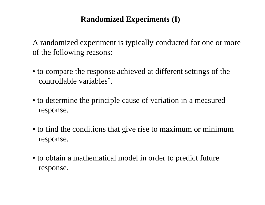# **Randomized Experiments (I)**

A randomized experiment is typically conducted for one or more of the following reasons:

- to compare the response achieved at different settings of the controllable variables\* .
- to determine the principle cause of variation in a measured response.
- to find the conditions that give rise to maximum or minimum response.
- to obtain a mathematical model in order to predict future response.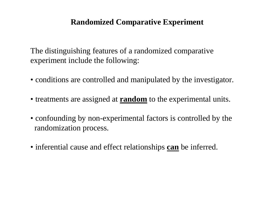#### **Randomized Comparative Experiment**

 The distinguishing features of a randomized comparative experiment include the following:

- conditions are controlled and manipulated by the investigator.
- treatments are assigned at **random** to the experimental units.
- confounding by non-experimental factors is controlled by the randomization process.
- inferential cause and effect relationships **can** be inferred.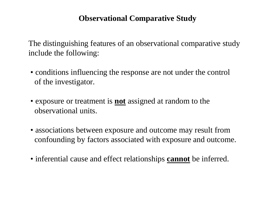# **Observational Comparative Study**

 The distinguishing features of an observational comparative study include the following:

- conditions influencing the response are not under the control of the investigator.
- exposure or treatment is **not** assigned at random to the observational units.
- associations between exposure and outcome may result from confounding by factors associated with exposure and outcome.
- inferential cause and effect relationships **cannot** be inferred.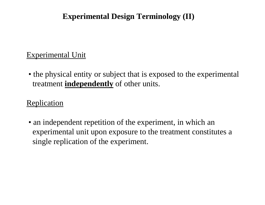# **Experimental Design Terminology (II)**

## Experimental Unit

• the physical entity or subject that is exposed to the experimental treatment **independently** of other units.

#### **Replication**

• an independent repetition of the experiment, in which an experimental unit upon exposure to the treatment constitutes a single replication of the experiment.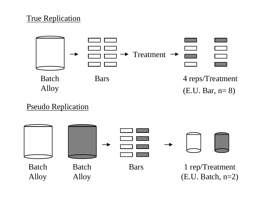#### True Replication



# Pseudo Replication

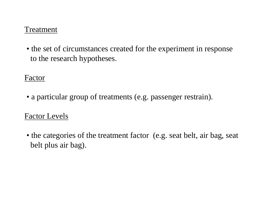#### **Treatment**

• the set of circumstances created for the experiment in response to the research hypotheses.

#### Factor

• a particular group of treatments (e.g. passenger restrain).

#### Factor Levels

• the categories of the treatment factor (e.g. seat belt, air bag, seat belt plus air bag).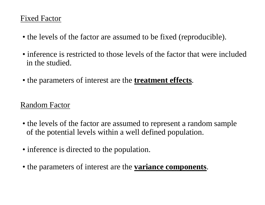#### Fixed Factor

- the levels of the factor are assumed to be fixed (reproducible).
- inference is restricted to those levels of the factor that were included in the studied.
- the parameters of interest are the **treatment effects**.

# Random Factor

- the levels of the factor are assumed to represent a random sample of the potential levels within a well defined population.
- inference is directed to the population.
- the parameters of interest are the **variance components**.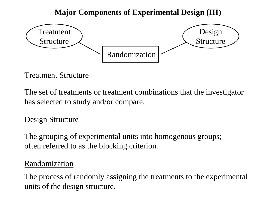# **Major Components of Experimental Design (III)**



#### Treatment Structure

The set of treatments or treatment combinations that the investigator has selected to study and/or compare.

# Design Structure

The grouping of experimental units into homogenous groups; often referred to as the blocking criterion.

#### Randomization

The process of randomly assigning the treatments to the experimental units of the design structure.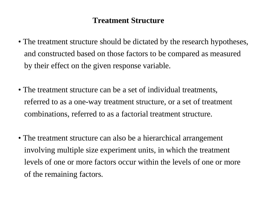# **Treatment Structure**

- The treatment structure should be dictated by the research hypotheses, and constructed based on those factors to be compared as measured by their effect on the given response variable.
- The treatment structure can be a set of individual treatments, referred to as a one-way treatment structure, or a set of treatment combinations, referred to as a factorial treatment structure.
- The treatment structure can also be a hierarchical arrangement involving multiple size experiment units, in which the treatment levels of one or more factors occur within the levels of one or more of the remaining factors.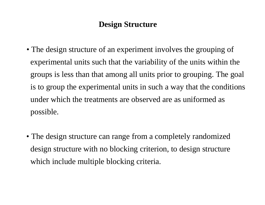#### **Design Structure**

- The design structure of an experiment involves the grouping of experimental units such that the variability of the units within the groups is less than that among all units prior to grouping. The goal is to group the experimental units in such a way that the conditions under which the treatments are observed are as uniformed as possible.
- The design structure can range from a completely randomized design structure with no blocking criterion, to design structure which include multiple blocking criteria.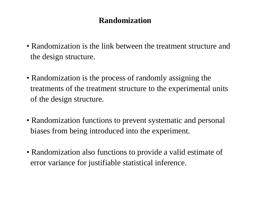#### **Randomization**

- Randomization is the link between the treatment structure and the design structure.
- Randomization is the process of randomly assigning the treatments of the treatment structure to the experimental units of the design structure.
- Randomization functions to prevent systematic and personal biases from being introduced into the experiment.
- Randomization also functions to provide a valid estimate of error variance for justifiable statistical inference.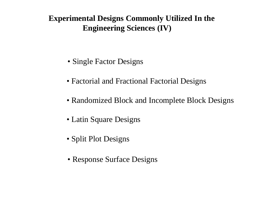# **Experimental Designs Commonly Utilized In the Engineering Sciences (IV)**

- Single Factor Designs
- Factorial and Fractional Factorial Designs
- Randomized Block and Incomplete Block Designs
- Latin Square Designs
- Split Plot Designs
- Response Surface Designs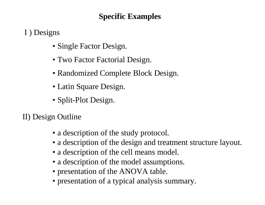# **Specific Examples**

I ) Designs

- Single Factor Design.
- Two Factor Factorial Design.
- Randomized Complete Block Design.
- Latin Square Design.
- Split-Plot Design.

II) Design Outline

- a description of the study protocol.
- a description of the design and treatment structure layout.
- a description of the cell means model.
- a description of the model assumptions.
- presentation of the ANOVA table.
- presentation of a typical analysis summary.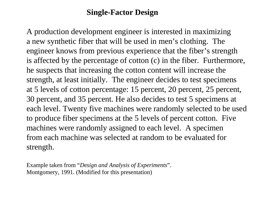#### **Single-Factor Design**

A production development engineer is interested in maximizing a new synthetic fiber that will be used in men's clothing. The engineer knows from previous experience that the fiber's strength is affected by the percentage of cotton (c) in the fiber. Furthermore, he suspects that increasing the cotton content will increase the strength, at least initially. The engineer decides to test specimens at 5 levels of cotton percentage: 15 percent, 20 percent, 25 percent, 30 percent, and 35 percent. He also decides to test 5 specimens at each level. Twenty five machines were randomly selected to be used to produce fiber specimens at the 5 levels of percent cotton. Five machines were randomly assigned to each level. A specimen from each machine was selected at random to be evaluated for strength.

Example taken from "*Design and Analysis of Experiments*". Montgomery, 1991. (Modified for this presentation)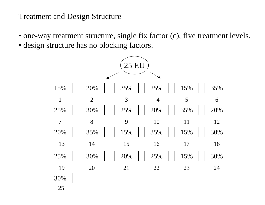#### Treatment and Design Structure

- one-way treatment structure, single fix factor (c), five treatment levels.
- design structure has no blocking factors.

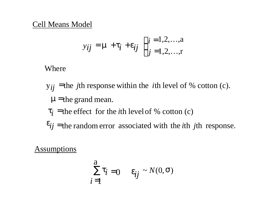#### Cell Means Model

$$
y_{ij} = \mathbf{m} + \mathbf{t}_i + \mathbf{e}_{ij}
$$
  $\begin{cases} i = 1, 2, ..., a \\ j = 1, 2, ..., r \end{cases}$ 

Where

 $m$ =the grand mean.  $y_{ij}$  = the *j*th response within the *i*th level of % cotton (c). =

 $\tau_i$  = the effect for the *i*th level of % cotton (c)  $t_i =$ 

 $e_{ij}$  = the random error associated with the *i*th *j*th response.

**Assumptions** 

$$
\sum_{i=1}^{a} t_i = 0 \quad \mathbf{e}_{ij} \sim N(0, \mathbf{S})
$$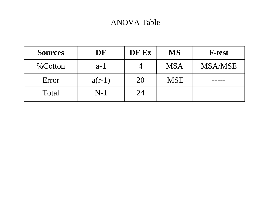## ANOVA Table

| <b>Sources</b> | DF       | DF Ex | <b>MS</b>  | <b>F-test</b>  |
|----------------|----------|-------|------------|----------------|
| $%$ Cotton     | $a-1$    |       | <b>MSA</b> | <b>MSA/MSE</b> |
| Error          | $a(r-1)$ | 20    | <b>MSE</b> |                |
| Total          | $N-1$    | 24    |            |                |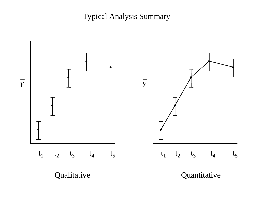Typical Analysis Summary

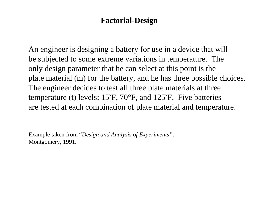#### **Factorial-Design**

An engineer is designing a battery for use in a device that will be subjected to some extreme variations in temperature. The only design parameter that he can select at this point is the plate material (m) for the battery, and he has three possible choices. The engineer decides to test all three plate materials at three temperature (t) levels; 15°F, 70°F, and 125°F. Five batteries are tested at each combination of plate material and temperature.

Example taken from "*Design and Analysis of Experiments"*. Montgomery, 1991.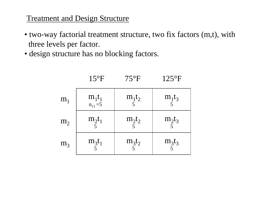## **Treatment and Design Structure**

- two-way factorial treatment structure, two fix factors (m,t), with three levels per factor.
- design structure has no blocking factors.

| m <sub>1</sub> | $m_1t_1$ <sub><math>n_{11} = 5</math></sub> | $m_1t_2$<br>5 | $m_1t_3$<br>5 |
|----------------|---------------------------------------------|---------------|---------------|
| m <sub>2</sub> | $m_2t_1$<br>5 <sup>1</sup>                  | $m_2t_2$      | $m_2t_3$      |
| m <sub>3</sub> | $m_3t_1$<br>$\overline{5}$                  | $m_3t_2$      | $m_3t_3$      |

15°F 75°F 125°F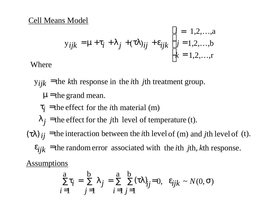#### Cell Means Model

$$
y_{ijk} = \mathbf{m} + \mathbf{t}_i + \mathbf{I}_j + (\mathbf{t}\mathbf{I})_{ij} + \mathbf{e}_{ijk} \begin{cases} i = 1, 2, ..., a \\ j = 1, 2, ..., b \\ k = 1, 2, ..., r \end{cases}
$$

Where

 $y_{ijk}$  = the *k*<sup>th</sup> response in the *i*<sup>th</sup> *j*<sup>th</sup> treatment group. =

# *m*=the grand mean.

$$
t_i
$$
 = the effect for the *i*th material (m)

$$
I_j
$$
 = the effect for the *j*th level of temperature (t).

 $e_{ijk}$  = the random error associated with the *i*th *j*th, *k*th response.  $t_{ij}$  = the interaction between the *i*th level of (m) and *j*th level of (t).  $(**t**l)$   $_{ii}$  =

Assumptions

$$
\sum_{i=1}^{a} t_i = \sum_{j=1}^{b} I_j = \sum_{i=1}^{a} \sum_{j=1}^{b} (tI)_{ij} = 0, \quad \mathbf{e}_{ijk} \sim N(0, \mathbf{s})
$$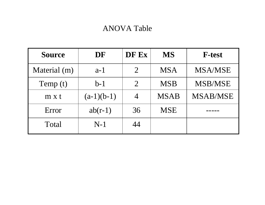# ANOVA Table

| <b>Source</b> | DF           | DF Ex          | <b>MS</b>   | <b>F-test</b>   |
|---------------|--------------|----------------|-------------|-----------------|
| Material (m)  | $a-1$        | $\overline{2}$ | <b>MSA</b>  | <b>MSA/MSE</b>  |
| Temp (t)      | $b-1$        | $\overline{2}$ | <b>MSB</b>  | <b>MSB/MSE</b>  |
| $m \times t$  | $(a-1)(b-1)$ | 4              | <b>MSAB</b> | <b>MSAB/MSE</b> |
| Error         | $ab(r-1)$    | 36             | <b>MSE</b>  |                 |
| Total         | $N-1$        | 44             |             |                 |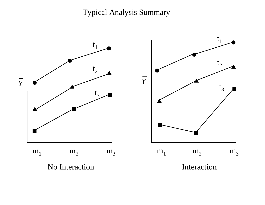Typical Analysis Summary

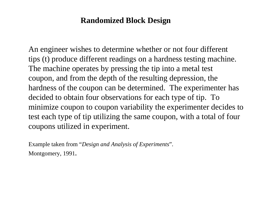#### **Randomized Block Design**

An engineer wishes to determine whether or not four different tips (t) produce different readings on a hardness testing machine. The machine operates by pressing the tip into a metal test coupon, and from the depth of the resulting depression, the hardness of the coupon can be determined. The experimenter has decided to obtain four observations for each type of tip. To minimize coupon to coupon variability the experimenter decides to test each type of tip utilizing the same coupon, with a total of four coupons utilized in experiment.

Example taken from "*Design and Analysis of Experiments*". Montgomery, 1991.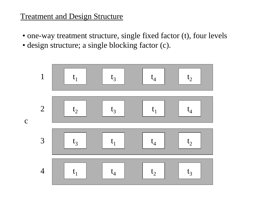#### **Treatment and Design Structure**

- one-way treatment structure, single fixed factor (t), four levels
- design structure; a single blocking factor (c).

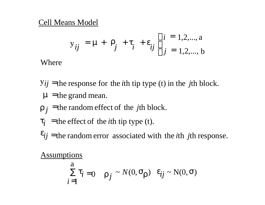#### Cell Means Model

$$
y_{ij} = \mathbf{m} + \mathbf{r}_j + \mathbf{t}_i + \mathbf{e}_{ij} \begin{cases} i = 1, 2, ..., a \\ j = 1, 2, ..., b \end{cases}
$$

Where

- $m$  = the grand mean.  $y_{ij}$  = the response for the *i*th tip type (t) in the *j*th block.
- $r_j$  = the random effect of the *j*th block.
- $\tau_i$  = the effect of the *i*th tip type (t).  $t_i =$
- $e_{ij}$  = the random error associated with the *i*th *j*th response.

**Assumptions** 

$$
\sum_{i=1}^{a} t_i = 0 \quad \mathbf{r}_j \sim N(0, \mathbf{s}_r) \quad e_{ij} \sim N(0, \mathbf{s})
$$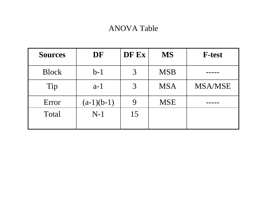# ANOVA Table

| <b>Sources</b> | DF           | DF Ex | <b>MS</b>  | <b>F-test</b>  |
|----------------|--------------|-------|------------|----------------|
| <b>Block</b>   | $b-1$        | 3     | <b>MSB</b> |                |
| Tip            | $a-1$        | 3     | <b>MSA</b> | <b>MSA/MSE</b> |
| Error          | $(a-1)(b-1)$ |       | <b>MSE</b> |                |
| Total          | $N-1$        | 15    |            |                |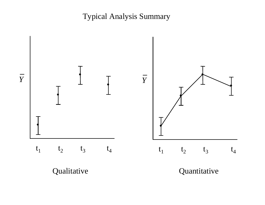Typical Analysis Summary

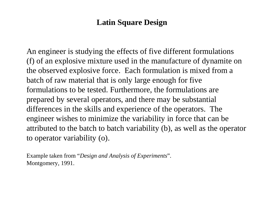# **Latin Square Design**

An engineer is studying the effects of five different formulations (f) of an explosive mixture used in the manufacture of dynamite on the observed explosive force. Each formulation is mixed from a batch of raw material that is only large enough for five formulations to be tested. Furthermore, the formulations are prepared by several operators, and there may be substantial differences in the skills and experience of the operators. The engineer wishes to minimize the variability in force that can be attributed to the batch to batch variability (b), as well as the operator to operator variability (o).

Example taken from "*Design and Analysis of Experiments*". Montgomery, 1991.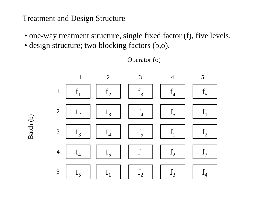#### **Treatment and Design Structure**

Batch (b)

- one-way treatment structure, single fixed factor (f), five levels.
- design structure; two blocking factors (b,o).



Operator (o)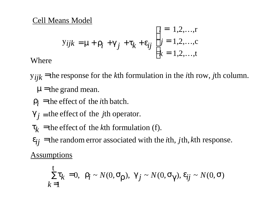#### Cell Means Model

Where

$$
Yijk = m + r_i + g_j + t_k + e_{ij} \begin{cases} i = 1, 2, ..., r \\ j = 1, 2, ..., c \\ k = 1, 2, ..., t \end{cases}
$$

- $m$ =the grand mean. y<sub>ijk</sub> = the response for the *k*th formulation in the *i*th row, *j*th column. =
	- $\hat{i}$  = the effect of the *i*th batch.  $r_i =$
- $g_j$  = the effect of the *j*th operator.
- $t_k$  = the effect of the *k*th formulation (f).  $t_k =$
- **Assumptions**  $t_{ij}$  =the random error associated with the *i*th, *j*th, *k*th response.  $e_{ij} =$

 $\mathbf{r}_k = 0, \quad \mathbf{r}_i \sim N(0, \mathbf{s}_r), \quad \mathbf{g}_j \sim N(0, \mathbf{s}_g), \quad \mathbf{e}_{ij} \sim N(0, \mathbf{s})$  $k = 1$ t  $\sum t_k =$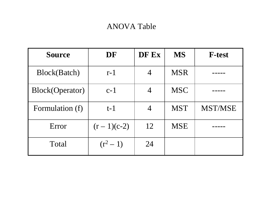# ANOVA Table

| <b>Source</b>          | DF           | DF Ex          | <b>MS</b>  | <b>F-test</b>  |
|------------------------|--------------|----------------|------------|----------------|
| Block(Batch)           | $r-1$        | $\overline{4}$ | <b>MSR</b> |                |
| <b>Block(Operator)</b> | $c-1$        | 4              | <b>MSC</b> |                |
| Formulation (f)        | $t-1$        | 4              | <b>MST</b> | <b>MST/MSE</b> |
| Error                  | $(r-1)(c-2)$ | 12             | <b>MSE</b> |                |
| Total                  | $(r^2-1)$    | 24             |            |                |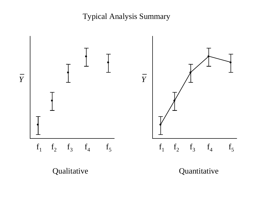Typical Analysis Summary

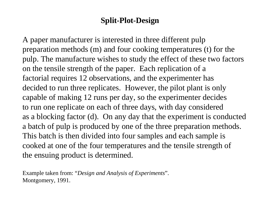#### **Split-Plot-Design**

A paper manufacturer is interested in three different pulp preparation methods (m) and four cooking temperatures (t) for the pulp. The manufacture wishes to study the effect of these two factors on the tensile strength of the paper. Each replication of a factorial requires 12 observations, and the experimenter has decided to run three replicates. However, the pilot plant is only capable of making 12 runs per day, so the experimenter decides to run one replicate on each of three days, with day considered as a blocking factor (d). On any day that the experiment is conducted a batch of pulp is produced by one of the three preparation methods. This batch is then divided into four samples and each sample is cooked at one of the four temperatures and the tensile strength of the ensuing product is determined.

Example taken from: "*Design and Analysis of Experiments*". Montgomery, 1991.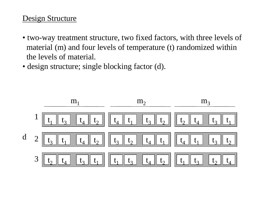#### Design Structure

- two-way treatment structure, two fixed factors, with three levels of material (m) and four levels of temperature (t) randomized within the levels of material.
- design structure; single blocking factor (d).

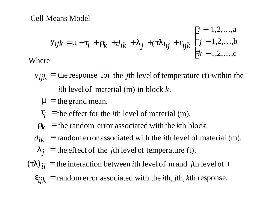$$
y_{ijk} = \mathbf{m} + \mathbf{t}_i + \mathbf{r}_k + d_{ik} + \mathbf{l}_j + (\mathbf{t}\mathbf{l})_{ij} + \mathbf{e}_{ijk} \begin{cases} i = 1, 2, ..., a \\ j = 1, 2, ..., b \\ k = 1, 2, ..., c \end{cases}
$$
  
Where

- ith level of material  $(m)$  in block  $k$ .  $y_{ijk}$  = the response for the *j*th level of temperature (t) within the
- $m =$  the grand mean.
- $t_i$  = the effect for the *i*th level of material (m). *i t*
	- $r_k$  = the random error associated with the *k*th block.
- $d_{ik}$  = random error associated with the *i*th level of material (m).
	- $j =$  the effect of the *j*th level of temperature (t). *l*
- = random error associated with the *i*th, *j*th, *k*th response.  $(t)$   $_{ij}$  = the interaction between *i*th level of m and *j*th level of t. *ijk e*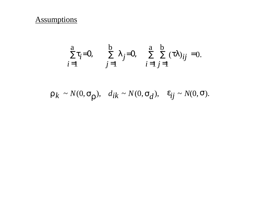#### **Assumptions**

$$
\sum_{i=1}^{a} t_i = 0, \qquad \sum_{j=1}^{b} I_j = 0, \qquad \sum_{i=1}^{a} \sum_{j=1}^{b} (tI)_{ij} = 0.
$$

 $r_k \sim N(0, s_r)$ ,  $d_{ik} \sim N(0, s_d)$ ,  $e_{ij} \sim N(0, s)$ .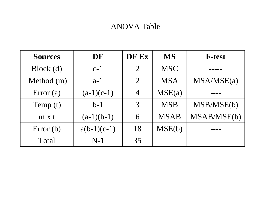# ANOVA Table

| <b>Sources</b> | DF            | DF Ex                       | <b>MS</b>   | <b>F-test</b> |
|----------------|---------------|-----------------------------|-------------|---------------|
| Block(d)       | $c-1$         | $\overline{2}$              | <b>MSC</b>  |               |
| Method (m)     | $a-1$         | $\mathcal{D}_{\mathcal{L}}$ | <b>MSA</b>  | MSA/MSE(a)    |
| Error $(a)$    | $(a-1)(c-1)$  | $\overline{4}$              | MSE(a)      |               |
| Temp (t)       | $b-1$         | $\mathcal{E}$               | <b>MSB</b>  | MSB/MSE(b)    |
| $m \times t$   | $(a-1)(b-1)$  | 6                           | <b>MSAB</b> | MSAB/MSE(b)   |
| Error $(b)$    | $a(b-1)(c-1)$ | 18                          | MSE(b)      |               |
| Total          | $N-1$         | 35                          |             |               |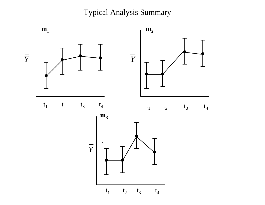Typical Analysis Summary

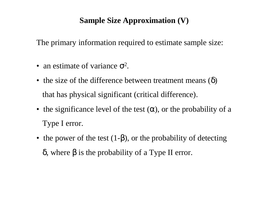# **Sample Size Approximation (V)**

The primary information required to estimate sample size:

- an estimate of variance  $\sigma^2$ .
- the size of the difference between treatment means  $(\delta)$ that has physical significant (critical difference).
- the significance level of the test  $(\alpha)$ , or the probability of a Type I error.
- the power of the test  $(1-\beta)$ , or the probability of detecting δ, where β is the probability of a Type II error.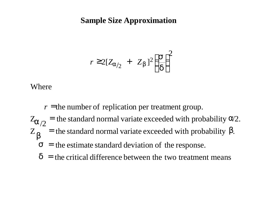#### **Sample Size Approximation**

$$
r \ge 2[Z_{a/2} + Z_b]^2 \left(\frac{s}{d}\right)^2
$$

Where

 $r =$  the number of replication per treatment group.

 $Z_{\mathbf{k}}$  = the standard normal variate exceeded with probability *b*.  $Z_{a/2}$  = the standard normal variate exceeded with probability  $a/2$ .  $Z_{\bf h}$ *a*

- $s$  = the estimate standard deviation of the response.
- $d$  = the critical difference between the two treatment means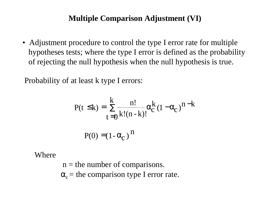#### **Multiple Comparison Adjustment (VI)**

• Adjustment procedure to control the type I error rate for multiple hypotheses tests; where the type I error is defined as the probability of rejecting the null hypothesis when the null hypothesis is true.

Probability of at least k type I errors:

$$
P(t \le k) = \sum_{t=0}^{k} \frac{n!}{k!(n-k)!} a_c^{k} (1 - a_c)^{n-k}
$$

$$
P(0) = (1 - a_c)^{n}
$$

Where

 $n =$  the number of comparisons.  $\alpha_c$  = the comparison type I error rate.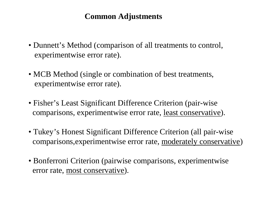#### **Common Adjustments**

- Dunnett's Method (comparison of all treatments to control, experimentwise error rate).
- MCB Method (single or combination of best treatments, experimentwise error rate).
- Fisher's Least Significant Difference Criterion (pair-wise comparisons, experimentwise error rate, least conservative).
- Tukey's Honest Significant Difference Criterion (all pair-wise comparisons,experimentwise error rate, moderately conservative)
- •Bonferroni Criterion (pairwise comparisons, experimentwise error rate, most conservative).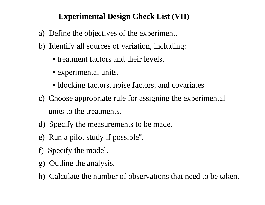## **Experimental Design Check List (VII)**

- a) Define the objectives of the experiment.
- b) Identify all sources of variation, including:
	- treatment factors and their levels.
	- experimental units.
	- blocking factors, noise factors, and covariates.
- c) Choose appropriate rule for assigning the experimental units to the treatments.
- d) Specify the measurements to be made.
- e) Run a pilot study if possible**\*** .
- f) Specify the model.
- g) Outline the analysis.
- h) Calculate the number of observations that need to be taken.